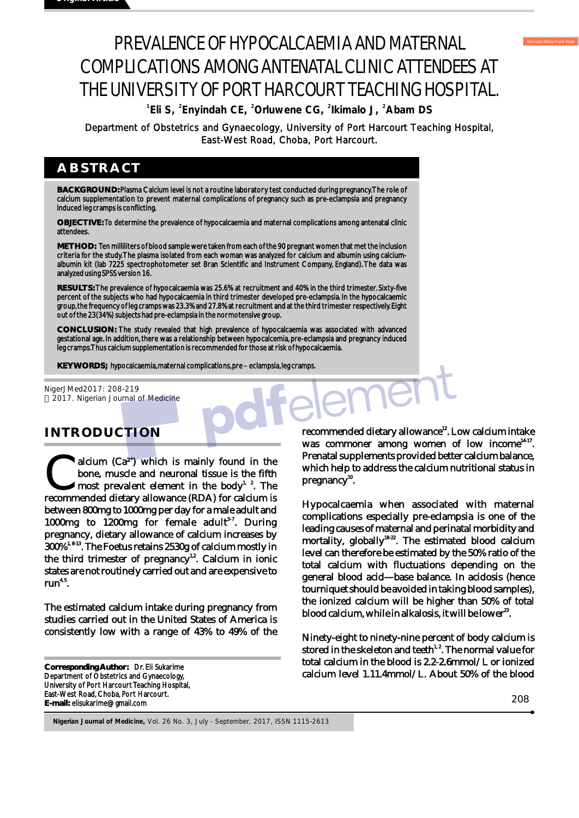# PREVALENCE OF HYPOCALCAEMIA AND MATERNAL COMPLICATIONS AMONG ANTENATAL CLINIC ATTENDEES AT THE UNIVERSITY OF PORT HARCOURT TEACHING HOSPITAL.

<sup>1</sup>**Eli S**, <sup>2</sup> **Enyindah CE**, <sup>2</sup> Orluwene CG, <sup>2</sup> Ikimalo J, <sup>2</sup> Abam DS

East-West Road, Choba, Port Harcourt.

### **ABSTRACT**

**BACKGROUND:** Plasma Calcium level is not a routine laboratory test conducted during pregnancy. The role of calcium supplementation to prevent maternal complications of pregnancy such as pre-eclampsia and pregnancy induced leg cramps is conflicting.

**OBJECTIVE:** To determine the prevalence of hypocalcaemia and maternal complications among antenatal clinic attendees.

**METHOD:** Ten milliliters of blood sample were taken from each of the 90 pregnant women that met the inclusion criteria for the study. The plasma isolated from each woman was analyzed for calcium and albumin using calciumalbumin kit (lab 7225 spectrophotometer set Bran Scientific and Instrument Company, England). The data was analyzed using SPSS version 16.

**RESULTS:** The prevalence of hypocalcaemia was 25.6% at recruitment and 40% in the third trimester. Sixty-five percent of the subjects who had hypocalcaemia in third trimester developed pre-eclampsia. In the hypocalcaemic group, the frequency of leg cramps was 23.3% and 27.8% at recruitment and at the third trimester respectively. Eight out of the 23(34%) subjects had pre-eclampsia in the normotensive group.

**CONCLUSION:** The study revealed that high prevalence of hypocalcaemia was associated with advanced gestational age. In addition, there was a relationship between hypocalcemia, pre-eclampsia and pregnancy induced leg cramps. Thus calcium supplementation is recommended for those at risk of hypocalcaemia.

**KEY WORDS;** hypocalcaemia, maternal complications, pre – eclampsia, leg cramps.

NigerJMed2017: 208-219 2017. Nigerian Journal of Medicine

## **INTRODUCTION**

alcium  $(Ca^{2^*})$  which is mainly found in the bone, muscle and neuronal tissue is the fifth  $\ell$  most prevalent element in the body<sup>1, 2</sup>. The recommended dietary allowance (RDA) for calcium is between 800mg to 1000mg per day for a male adult and 1000mg to 1200mg for female adult<sup>3-7</sup>. During pregnancy, dietary allowance of calcium increases by 300%<sup>1, 8-13</sup>. The Foetus retains 2530g of calcium mostly in the third trimester of pregnancy<sup>12</sup>. Calcium in ionic states are not routinely carried out and are expensive to run<sup>4,5</sup>.

The estimated calcium intake during pregnancy from studies carried out in the United States of America is consistently low with a range of 43% to 49% of the

**Corresponding Author:** Dr. Eli Sukarime Department of Obstetrics and Gynaecology, University of Port Harcourt Teaching Hospital, East-West Road, Choba, Port Harcourt. **E-mail:** elisukarime@gmail.com

recommended dietary allowance<sup>12</sup>. Low calcium intake was commoner among women of low income $14-17$ . Prenatal supplements provided better calcium balance, which help to address the calcium nutritional status in  $pregnancy<sup>10</sup>$ .

Hypocalcaemia when associated with maternal complications especially pre-eclampsia is one of the leading causes of maternal and perinatal morbidity and mortality, globally<sup>18-22</sup>. The estimated blood calcium level can therefore be estimated by the 50% ratio of the total calcium with fluctuations depending on the general blood acid—base balance. In acidosis (hence tourniquet should be avoided in taking blood samples), the ionized calcium will be higher than 50% of total blood calcium, while in alkalosis, it will be lower<sup>23</sup>. Department of Obstetrics and Gynaecology, University of Port Harcourt Teaching Hospital,<br>  $\frac{1}{2}$  EXAC and Gynaecology, University of Port Harcourt Teaching Hospital,<br>  $\frac{1}{2}$  EXAC and Department of Port Harcourt Teac

Ninety-eight to ninety-nine percent of body calcium is stored in the skeleton and teeth<sup>1,2</sup>. The normal value for total calcium in the blood is 2.2-2.6mmol/L or ionized calcium level 1.11.4mmol/L. About 50% of the blood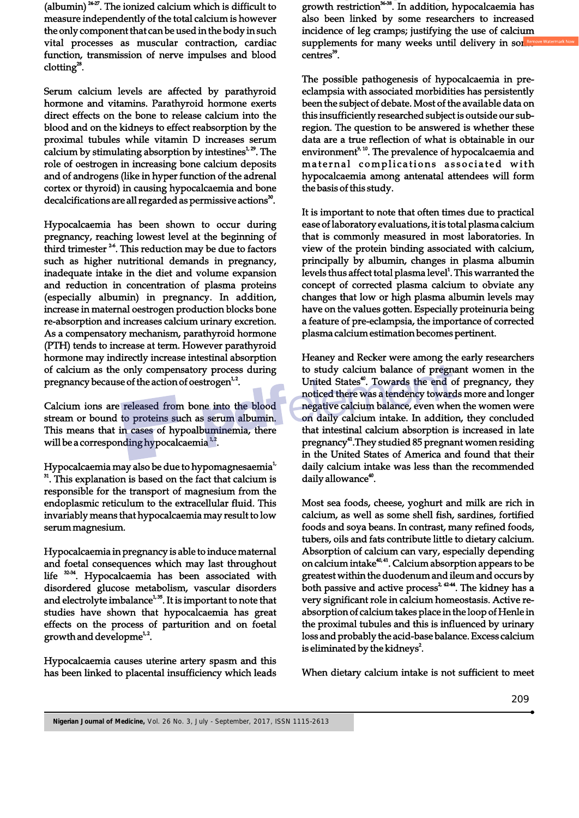(albumin)  $24-27$ . The ionized calcium which is difficult to measure independently of the total calcium is however the only component that can be used in the body in such vital processes as muscular contraction, cardiac function, transmission of nerve impulses and blood  $clotting^{28}$ .

Serum calcium levels are affected by parathyroid hormone and vitamins. Parathyroid hormone exerts direct effects on the bone to release calcium into the blood and on the kidneys to effect reabsorption by the proximal tubules while vitamin D increases serum calcium by stimulating absorption by intestines $1.29$ . The role of oestrogen in increasing bone calcium deposits and of androgens (like in hyper function of the adrenal cortex or thyroid) in causing hypocalcaemia and bone decalcifications are all regarded as permissive actions<sup>30</sup>.

Hypocalcaemia has been shown to occur during pregnancy, reaching lowest level at the beginning of third trimester  $26$ . This reduction may be due to factors such as higher nutritional demands in pregnancy, inadequate intake in the diet and volume expansion and reduction in concentration of plasma proteins (especially albumin) in pregnancy. In addition, increase in maternal oestrogen production blocks bone re-absorption and increases calcium urinary excretion. As a compensatory mechanism, parathyroid hormone (PTH) tends to increase at term. However parathyroid hormone may indirectly increase intestinal absorption of calcium as the only compensatory process during pregnancy because of the action of oestrogen $<sup>1,2</sup>$ .</sup>

Calcium ions are released from bone into the blood stream or bound to proteins such as serum albumin. This means that in cases of hypoalbuminemia, there will be a corresponding hypocalcaemia  $1/2$ .

Hypocalcaemia may also be due to hypomagnesaemia<sup>1</sup> <sup>31</sup>. This explanation is based on the fact that calcium is responsible for the transport of magnesium from the endoplasmic reticulum to the extracellular fluid. This invariably means that hypocalcaemia may result to low serum magnesium.

Hypocalcaemia in pregnancy is able to induce maternal and foetal consequences which may last throughout life <sup>32-34</sup>. Hypocalcaemia has been associated with disordered glucose metabolism, vascular disorders and electrolyte imbalance<sup>1,35</sup>. It is important to note that studies have shown that hypocalcaemia has great effects on the process of parturition and on foetal growth and developme $1/2$ .

Hypocalcaemia causes uterine artery spasm and this has been linked to placental insufficiency which leads growth restriction<sup>36-38</sup>. In addition, hypocalcaemia has also been linked by some researchers to increased incidence of leg cramps; justifying the use of calcium supplements for many weeks until delivery in som centres<sup>39</sup>.

The possible pathogenesis of hypocalcaemia in preeclampsia with associated morbidities has persistently been the subject of debate. Most of the available data on this insufficiently researched subject is outside our subregion. The question to be answered is whether these data are a true reflection of what is obtainable in our environment<sup>9, 10</sup>. The prevalence of hypocalcaemia and maternal complications associated with hypocalcaemia among antenatal attendees will form the basis of this study.

It is important to note that often times due to practical ease of laboratory evaluations, it is total plasma calcium that is commonly measured in most laboratories. In view of the protein binding associated with calcium, principally by albumin, changes in plasma albumin levels thus affect total plasma level<sup>1</sup>. This warranted the concept of corrected plasma calcium to obviate any changes that low or high plasma albumin levels may have on the values gotten. Especially proteinuria being a feature of pre-eclampsia, the importance of corrected plasma calcium estimation becomes pertinent.

Heaney and Recker were among the early researchers to study calcium balance of pregnant women in the United States<sup>40</sup>. Towards the end of pregnancy, they noticed there was a tendency towards more and longer negative calcium balance, even when the women were on daily calcium intake. In addition, they concluded that intestinal calcium absorption is increased in late pregnancy<sup>41</sup>. They studied 85 pregnant women residing in the United States of America and found that their daily calcium intake was less than the recommended daily allowance<sup>40</sup>.

Most sea foods, cheese, yoghurt and milk are rich in calcium, as well as some shell fish, sardines, fortified foods and soya beans. In contrast, many refined foods, tubers, oils and fats contribute little to dietary calcium. Absorption of calcium can vary, especially depending on calcium intake $40, 41$ . Calcium absorption appears to be greatest within the duodenum and ileum and occurs by both passive and active process<sup>2, 4244</sup>. The kidney has a very significant role in calcium homeostasis. Active reabsorption of calcium takes place in the loop of Henle in the proximal tubules and this is influenced by urinary loss and probably the acid-base balance. Excess calcium is eliminated by the kidneys<sup>2</sup>.

When dietary calcium intake is not sufficient to meet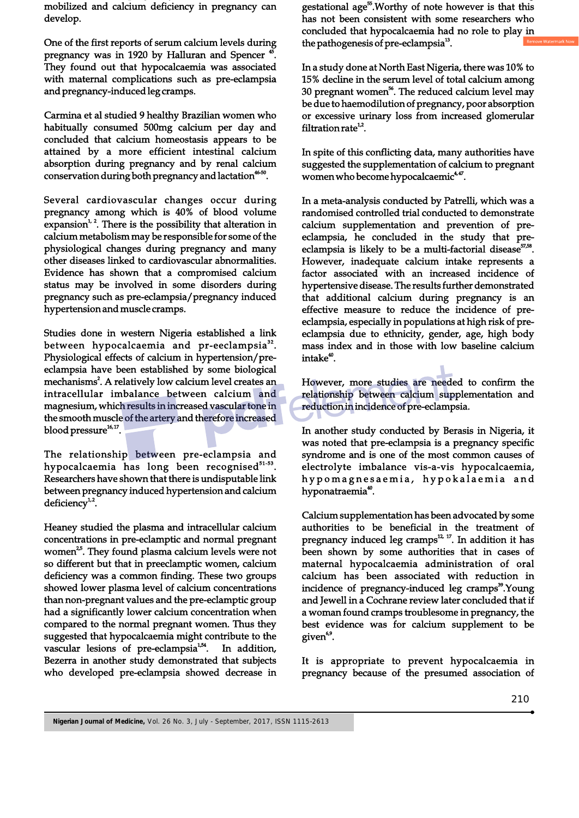mobilized and calcium deficiency in pregnancy can develop.

One of the first reports of serum calcium levels during pregnancy was in 1920 by Halluran and Spencer<sup>45</sup> They found out that hypocalcaemia was associated with maternal complications such as pre-eclampsia and pregnancy-induced leg cramps.

Carmina et al studied 9 healthy Brazilian women who habitually consumed 500mg calcium per day and concluded that calcium homeostasis appears to be attained by a more efficient intestinal calcium absorption during pregnancy and by renal calcium conservation during both pregnancy and lactation<sup>46-50</sup>.

Several cardiovascular changes occur during pregnancy among which is 40% of blood volume expansion<sup> $1, 2$ </sup>. There is the possibility that alteration in calcium metabolism may be responsible for some of the physiological changes during pregnancy and many other diseases linked to cardiovascular abnormalities. Evidence has shown that a compromised calcium status may be involved in some disorders during pregnancy such as pre-eclampsia/pregnancy induced hypertension and muscle cramps.

 eclampsia have been established by some biological Studies done in western Nigeria established a link between hypocalcaemia and pr-eeclampsia<sup>32</sup>. Physiological effects of calcium in hypertension/premechanisms<sup>2</sup>. A relatively low calcium level creates an intracellular imbalance between calcium and magnesium, which results in increased vascular tone in the smooth muscle of the artery and therefore increased  $16, 17$  blood pressure<sup>16, 17</sup>.

The relationship between pre-eclampsia and hypocalcaemia has long been recognised<sup>51-53</sup>. Researchers have shown that there is undisputable link between pregnancy induced hypertension and calcium deficiency $1/2$ .

Heaney studied the plasma and intracellular calcium concentrations in pre-eclamptic and normal pregnant women<sup>25</sup>. They found plasma calcium levels were not so different but that in preeclamptic women, calcium deficiency was a common finding. These two groups showed lower plasma level of calcium concentrations than non-pregnant values and the pre-eclamptic group had a significantly lower calcium concentration when compared to the normal pregnant women. Thus they suggested that hypocalcaemia might contribute to the vascular lesions of pre-eclampsia<sup>1,54</sup>. In addition, Bezerra in another study demonstrated that subjects who developed pre-eclampsia showed decrease in

gestational age<sup>55</sup>. Worthy of note however is that this has not been consistent with some researchers who concluded that hypocalcaemia had no role to play in the pathogenesis of pre-eclampsia $^{13}$ .

In a study done at North East Nigeria, there was 10% to 15% decline in the serum level of total calcium among 30 pregnant women<sup>56</sup>. The reduced calcium level may be due to haemodilution of pregnancy, poor absorption or excessive urinary loss from increased glomerular filtration rate $^{12}$ .

In spite of this conflicting data, many authorities have suggested the supplementation of calcium to pregnant women who become hypocalcaemic<sup> $44$ </sup>.

In a meta-analysis conducted by Patrelli, which was a randomised controlled trial conducted to demonstrate calcium supplementation and prevention of preeclampsia, he concluded in the study that preeclampsia is likely to be a multi-factorial disease<sup> $57,58$ </sup>. However, inadequate calcium intake represents a factor associated with an increased incidence of hypertensive disease. The results further demonstrated that additional calcium during pregnancy is an effective measure to reduce the incidence of preeclampsia, especially in populations at high risk of preeclampsia due to ethnicity, gender, age, high body mass index and in those with low baseline calcium  $intake<sup>40</sup>$ .

 However, more studies are needed to confirm the relationship between calcium supplementation and reduction in incidence of pre-eclampsia.

In another study conducted by Berasis in Nigeria, it was noted that pre-eclampsia is a pregnancy specific syndrome and is one of the most common causes of electrolyte imbalance vis-a-vis hypocalcaemia, hypomagnesaemia, hypokalaemia and hyponatraemia<sup>40</sup>.

Calcium supplementation has been advocated by some authorities to be beneficial in the treatment of pregnancy induced leg cramps $^{12, 17}$ . In addition it has been shown by some authorities that in cases of maternal hypocalcaemia administration of oral calcium has been associated with reduction in incidence of pregnancy-induced leg cramps<sup>39</sup>.Young and Jewell in a Cochrane review later concluded that if a woman found cramps troublesome in pregnancy, the best evidence was for calcium supplement to be given<sup>69</sup>.

It is appropriate to prevent hypocalcaemia in pregnancy because of the presumed association of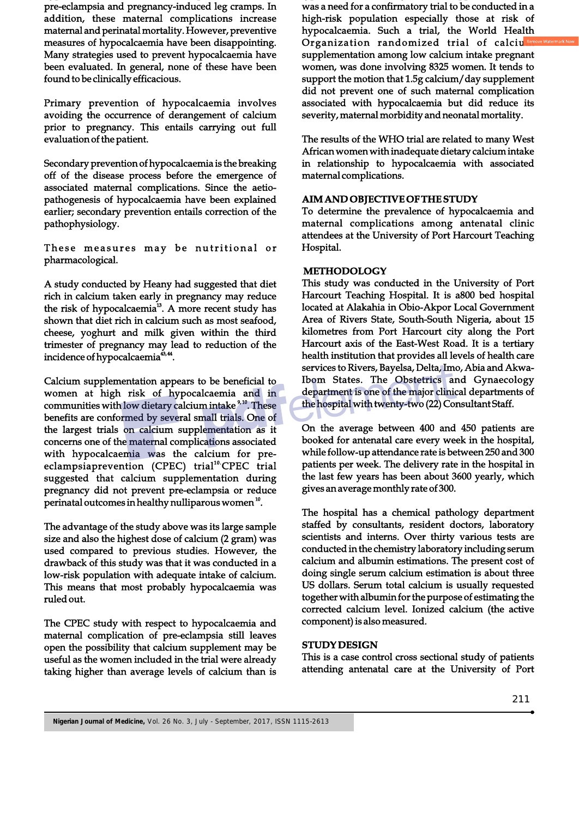pre-eclampsia and pregnancy-induced leg cramps. In addition, these maternal complications increase maternal and perinatal mortality. However, preventive measures of hypocalcaemia have been disappointing. Many strategies used to prevent hypocalcaemia have been evaluated. In general, none of these have been found to be clinically efficacious.

Primary prevention of hypocalcaemia involves avoiding the occurrence of derangement of calcium prior to pregnancy. This entails carrying out full evaluation of the patient.

Secondary prevention of hypocalcaemia is the breaking off of the disease process before the emergence of associated maternal complications. Since the aetiopathogenesis of hypocalcaemia have been explained earlier; secondary prevention entails correction of the pathophysiology.

These measures may be nutritional or pharmacological.

A study conducted by Heany had suggested that diet rich in calcium taken early in pregnancy may reduce the risk of hypocalcaemia<sup>13</sup>. A more recent study has shown that diet rich in calcium such as most seafood, cheese, yoghurt and milk given within the third trimester of pregnancy may lead to reduction of the incidence of hypocalcaemia<sup>43,44</sup>.

Calcium supplementation appears to be beneficial to women at high risk of hypocalcaemia and in communities with low dietary calcium intake  $9.10$ . These benefits are conformed by several small trials. One of the largest trials on calcium supplementation as it concerns one of the maternal complications associated with hypocalcaemia was the calcium for pre $eclamps a prevention (CPEC) trial<sup>10</sup>. CPEC trial$ suggested that calcium supplementation during pregnancy did not prevent pre-eclampsia or reduce perinatal outcomes in healthy nulliparous women  $10$ .

The advantage of the study above was its large sample size and also the highest dose of calcium (2 gram) was used compared to previous studies. However, the drawback of this study was that it was conducted in a low-risk population with adequate intake of calcium. This means that most probably hypocalcaemia was ruled out.

The CPEC study with respect to hypocalcaemia and maternal complication of pre-eclampsia still leaves open the possibility that calcium supplement may be useful as the women included in the trial were already taking higher than average levels of calcium than is was a need for a confirmatory trial to be conducted in a high-risk population especially those at risk of hypocalcaemia. Such a trial, the World Health Organization randomized trial of calciu supplementation among low calcium intake pregnant women, was done involving 8325 women. It tends to support the motion that 1.5g calcium/day supplement did not prevent one of such maternal complication associated with hypocalcaemia but did reduce its severity, maternal morbidity and neonatal mortality.

The results of the WHO trial are related to many West African women with inadequate dietary calcium intake in relationship to hypocalcaemia with associated maternal complications.

#### **AIM AND OBJECTIVE OF THE STUDY**

To determine the prevalence of hypocalcaemia and maternal complications among antenatal clinic attendees at the University of Port Harcourt Teaching Hospital.

#### **METHODOLOGY**

This study was conducted in the University of Port Harcourt Teaching Hospital. It is a800 bed hospital located at Alakahia in Obio-Akpor Local Government Area of Rivers State, South-South Nigeria, about 15 kilometres from Port Harcourt city along the Port Harcourt axis of the East-West Road. It is a tertiary health institution that provides all levels of health care services to Rivers, Bayelsa, Delta, Imo, Abia and Akwa-Ibom States. The Obstetrics and Gynaecology department is one of the major clinical departments of the hospital with twenty-two (22) Consultant Staff.

On the average between 400 and 450 patients are booked for antenatal care every week in the hospital, while follow-up attendance rate is between 250 and 300 patients per week. The delivery rate in the hospital in the last few years has been about 3600 yearly, which gives an average monthly rate of 300.

The hospital has a chemical pathology department staffed by consultants, resident doctors, laboratory scientists and interns. Over thirty various tests are conducted in the chemistry laboratory including serum calcium and albumin estimations. The present cost of doing single serum calcium estimation is about three US dollars. Serum total calcium is usually requested together with albumin for the purpose of estimating the corrected calcium level. Ionized calcium (the active component) is also measured.

#### **STUDY DESIGN**

This is a case control cross sectional study of patients attending antenatal care at the University of Port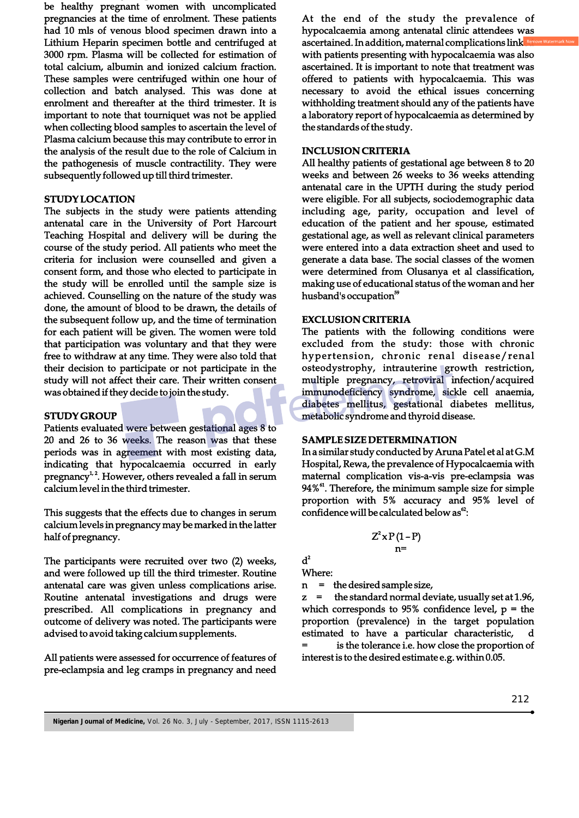be healthy pregnant women with uncomplicated pregnancies at the time of enrolment. These patients had 10 mls of venous blood specimen drawn into a Lithium Heparin specimen bottle and centrifuged at 3000 rpm. Plasma will be collected for estimation of total calcium, albumin and ionized calcium fraction. These samples were centrifuged within one hour of collection and batch analysed. This was done at enrolment and thereafter at the third trimester. It is important to note that tourniquet was not be applied when collecting blood samples to ascertain the level of Plasma calcium because this may contribute to error in the analysis of the result due to the role of Calcium in the pathogenesis of muscle contractility. They were subsequently followed up till third trimester.

#### **STUDY LOCATION**

The subjects in the study were patients attending antenatal care in the University of Port Harcourt Teaching Hospital and delivery will be during the course of the study period. All patients who meet the criteria for inclusion were counselled and given a consent form, and those who elected to participate in the study will be enrolled until the sample size is achieved. Counselling on the nature of the study was done, the amount of blood to be drawn, the details of the subsequent follow up, and the time of termination for each patient will be given. The women were told that participation was voluntary and that they were free to withdraw at any time. They were also told that their decision to participate or not participate in the study will not affect their care. Their written consent was obtained if they decide to join the study.

#### **STUDY GROUP**

Patients evaluated were between gestational ages 8 to 20 and 26 to 36 weeks. The reason was that these periods was in agreement with most existing data, indicating that hypocalcaemia occurred in early pregnancy<sup> $1, 2$ </sup>. However, others revealed a fall in serum calcium level in the third trimester.

This suggests that the effects due to changes in serum calcium levels in pregnancy may be marked in the latter half of pregnancy.

The participants were recruited over two (2) weeks, and were followed up till the third trimester. Routine antenatal care was given unless complications arise. Routine antenatal investigations and drugs were prescribed. All complications in pregnancy and outcome of delivery was noted. The participants were advised to avoid taking calcium supplements.

All patients were assessed for occurrence of features of pre-eclampsia and leg cramps in pregnancy and need

At the end of the study the prevalence of hypocalcaemia among antenatal clinic attendees was ascertained. In addition, maternal complications link with patients presenting with hypocalcaemia was also ascertained. It is important to note that treatment was offered to patients with hypocalcaemia. This was necessary to avoid the ethical issues concerning withholding treatment should any of the patients have a laboratory report of hypocalcaemia as determined by the standards of the study.

#### **INCLUSION CRITERIA**

All healthy patients of gestational age between 8 to 20 weeks and between 26 weeks to 36 weeks attending antenatal care in the UPTH during the study period were eligible. For all subjects, sociodemographic data including age, parity, occupation and level of education of the patient and her spouse, estimated gestational age, as well as relevant clinical parameters were entered into a data extraction sheet and used to generate a data base. The social classes of the women were determined from Olusanya et al classification, making use of educational status of the woman and her husband's occupation<sup>59</sup>

#### **EXCLUSION CRITERIA**

The patients with the following conditions were excluded from the study: those with chronic hypertension, chronic renal disease/renal osteodystrophy, intrauterine growth restriction, multiple pregnancy, retroviral infection/acquired immunodeficiency syndrome, sickle cell anaemia, diabetes mellitus, gestational diabetes mellitus, metabolic syndrome and thyroid disease.

#### **SAMPLE SIZE DETERMINATION**

In a similar study conducted by Aruna Patel et al at G.M Hospital, Rewa, the prevalence of Hypocalcaemia with maternal complication vis-a-vis pre-eclampsia was  $94\%$ <sup>61</sup>. Therefore, the minimum sample size for simple proportion with 5% accuracy and 95% level of confidence will be calculated below as $<sup>62</sup>$ :</sup>

$$
\begin{array}{c}Z^2xP(1-P)\\n= \end{array}
$$

 $\mathbf{d}^2$ Where:

n = the desired sample size,

the standard normal deviate, usually set at 1.96, which corresponds to 95% confidence level,  $p =$  the proportion (prevalence) in the target population estimated to have a particular characteristic, d is the tolerance i.e. how close the proportion of interest is to the desired estimate e.g. within 0.05.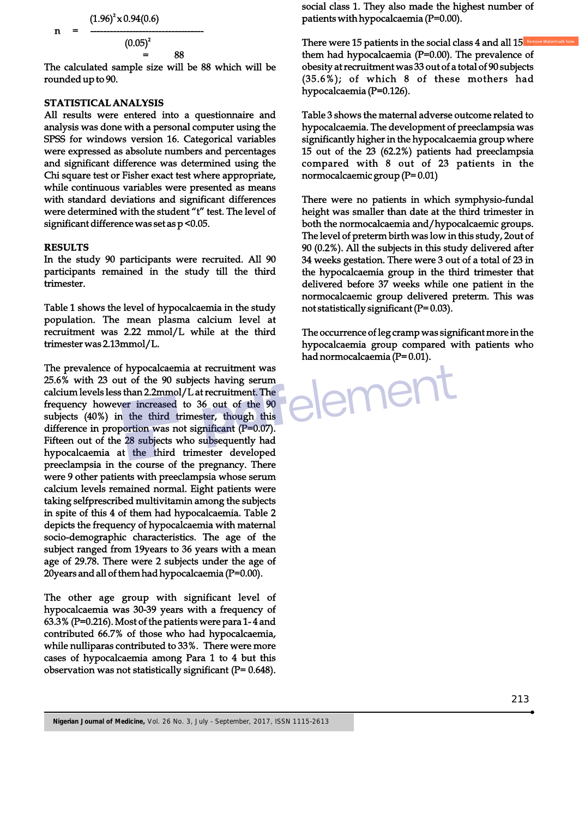2 (1.96) x 0.94(0.6) n = -----------------------------------

 $(0.05)^2$  $=$  88

The calculated sample size will be 88 which will be rounded up to 90.

#### **STATISTICAL ANALYSIS**

All results were entered into a questionnaire and analysis was done with a personal computer using the SPSS for windows version 16. Categorical variables were expressed as absolute numbers and percentages and significant difference was determined using the Chi square test or Fisher exact test where appropriate, while continuous variables were presented as means with standard deviations and significant differences were determined with the student "t" test. The level of significant difference was set as  $p < 0.05$ .

#### **RESULTS**

In the study 90 participants were recruited. All 90 participants remained in the study till the third trimester.

Table 1 shows the level of hypocalcaemia in the study population. The mean plasma calcium level at recruitment was 2.22 mmol/L while at the third trimester was 2.13mmol/L.

The prevalence of hypocalcaemia at recruitment was 25.6% with 23 out of the 90 subjects having serum calcium levels less than 2.2mmol/L at recruitment. The frequency however increased to 36 out of the 90 subjects (40%) in the third trimester, though this difference in proportion was not significant (P=0.07). Fifteen out of the 28 subjects who subsequently had hypocalcaemia at the third trimester developed preeclampsia in the course of the pregnancy. There were 9 other patients with preeclampsia whose serum calcium levels remained normal. Eight patients were taking selfprescribed multivitamin among the subjects in spite of this 4 of them had hypocalcaemia. Table 2 depicts the frequency of hypocalcaemia with maternal socio-demographic characteristics. The age of the subject ranged from 19years to 36 years with a mean age of 29.78. There were 2 subjects under the age of 20years and all of them had hypocalcaemia (P=0.00).

The other age group with significant level of hypocalcaemia was 30-39 years with a frequency of 63.3% (P=0.216). Most of the patients were para 1- 4 and contributed 66.7% of those who had hypocalcaemia, while nulliparas contributed to 33%. There were more cases of hypocalcaemia among Para 1 to 4 but this observation was not statistically significant ( $P= 0.648$ ).

social class 1. They also made the highest number of patients with hypocalcaemia (P=0.00).

There were 15 patients in the social class 4 and all  $15$ them had hypocalcaemia (P=0.00). The prevalence of obesity at recruitment was 33 out of a total of 90 subjects (35.6%); of which 8 of these mothers had hypocalcaemia (P=0.126).

Table 3 shows the maternal adverse outcome related to hypocalcaemia. The development of preeclampsia was significantly higher in the hypocalcaemia group where 15 out of the 23 (62.2%) patients had preeclampsia compared with 8 out of 23 patients in the normocalcaemic group (P= 0.01)

There were no patients in which symphysio-fundal height was smaller than date at the third trimester in both the normocalcaemia and/hypocalcaemic groups. The level of preterm birth was low in this study, 2out of 90 (0.2%). All the subjects in this study delivered after 34 weeks gestation. There were 3 out of a total of 23 in the hypocalcaemia group in the third trimester that delivered before 37 weeks while one patient in the normocalcaemic group delivered preterm. This was not statistically significant  $(P= 0.03)$ .

The occurrence of leg cramp was significant more in the hypocalcaemia group compared with patients who had normocalcaemia (P= 0.01).

emer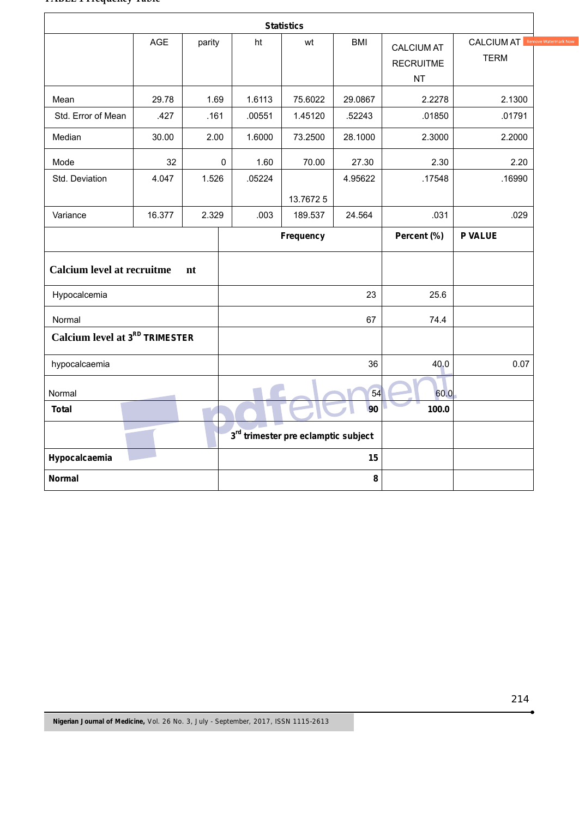#### **TABLE 1 Frequency Table**

| <b>Statistics</b>                          |            |        |             |        |                                     |            |                                                    |                                      |
|--------------------------------------------|------------|--------|-------------|--------|-------------------------------------|------------|----------------------------------------------------|--------------------------------------|
|                                            | <b>AGE</b> | parity |             | ht     | wt                                  | <b>BMI</b> | <b>CALCIUM AT</b><br><b>RECRUITME</b><br><b>NT</b> | <b>CALCIUM AT Rem</b><br><b>TERM</b> |
| Mean                                       | 29.78      | 1.69   |             | 1.6113 | 75.6022                             | 29.0867    | 2.2278                                             | 2.1300                               |
| Std. Error of Mean                         | .427       | .161   |             | .00551 | 1.45120                             | .52243     | .01850                                             | .01791                               |
| Median                                     | 30.00      | 2.00   |             | 1.6000 | 73.2500                             | 28.1000    | 2.3000                                             | 2.2000                               |
| Mode                                       | 32         |        | $\mathbf 0$ | 1.60   | 70.00                               | 27.30      | 2.30                                               | 2.20                                 |
| Std. Deviation                             | 4.047      | 1.526  |             | .05224 |                                     | 4.95622    | .17548                                             | .16990                               |
|                                            |            |        |             |        | 13.76725                            |            |                                                    |                                      |
| Variance                                   | 16.377     | 2.329  |             | .003   | 189.537                             | 24.564     | .031                                               | .029                                 |
|                                            |            |        |             |        | Frequency                           |            | Percent (%)                                        | <b>P VALUE</b>                       |
| <b>Calcium level at recruitme</b><br>nt    |            |        |             |        |                                     |            |                                                    |                                      |
| Hypocalcemia                               |            |        |             |        |                                     | 23         | 25.6                                               |                                      |
| Normal                                     |            |        |             |        |                                     | 67         | 74.4                                               |                                      |
| Calcium level at 3 <sup>RD</sup> TRIMESTER |            |        |             |        |                                     |            |                                                    |                                      |
| hypocalcaemia                              |            |        |             |        |                                     | 36         | 40.0                                               | 0.07                                 |
| Normal                                     |            |        | 54          |        |                                     |            | 60.0                                               |                                      |
| <b>Total</b>                               |            |        | 90          |        |                                     |            | 100.0                                              |                                      |
|                                            |            |        |             |        | 3rd trimester pre eclamptic subject |            |                                                    |                                      |
| Hypocalcaemia                              |            |        | 15          |        |                                     |            |                                                    |                                      |
| <b>Normal</b>                              |            |        | 8           |        |                                     |            |                                                    |                                      |

ė

e Watermark Now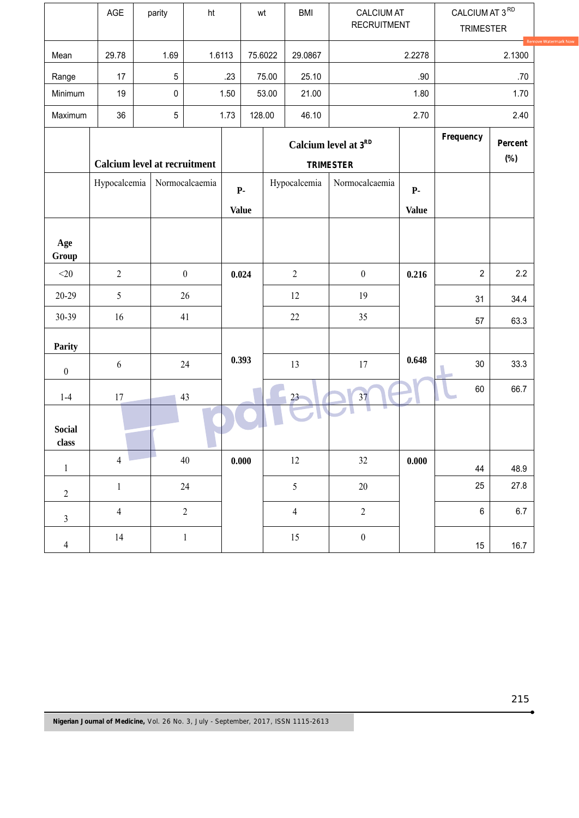|                          | AGE                                 | parity    | ht               |                                | wt                                       | <b>BMI</b>                     | <b>CALCIUM AT</b><br><b>RECRUITMENT</b> |                           | CALCIUM AT $3^{\,\mathrm{RD}}$<br><b>TRIMESTER</b> |         |
|--------------------------|-------------------------------------|-----------|------------------|--------------------------------|------------------------------------------|--------------------------------|-----------------------------------------|---------------------------|----------------------------------------------------|---------|
| Mean                     | 29.78                               | 1.69      |                  | 1.6113                         | 75.6022                                  | 29.0867                        | 2.2278                                  |                           | Rem<br>2.1300                                      |         |
| Range                    | 17                                  | $5\,$     |                  | .23                            | 75.00                                    | 25.10                          |                                         | .90                       |                                                    | .70     |
| Minimum                  | 19                                  | $\pmb{0}$ |                  | 1.50                           | 53.00                                    | 21.00                          | 1.80                                    |                           | 1.70                                               |         |
| Maximum                  | 36                                  | $5\,$     |                  | 1.73                           | 128.00                                   | 46.10                          | 2.70                                    |                           | 2.40                                               |         |
|                          | <b>Calcium level at recruitment</b> |           |                  |                                | Calcium level at 3RD<br><b>TRIMESTER</b> |                                |                                         | Frequency                 | Percent<br>$(\%)$                                  |         |
|                          | Hypocalcemia                        |           | Normocalcaemia   | $\mathbf{P}$ .<br><b>Value</b> |                                          | Hypocalcemia                   | Normocalcaemia                          | <b>P-</b><br><b>Value</b> |                                                    |         |
| Age<br>Group             |                                     |           |                  |                                |                                          |                                |                                         |                           |                                                    |         |
| $<$ 20 $\,$              | $\overline{2}$                      |           | $\boldsymbol{0}$ | 0.024                          |                                          | $\sqrt{2}$<br>$\boldsymbol{0}$ |                                         | 0.216                     | $\overline{c}$                                     | 2.2     |
| 20-29                    | 5                                   |           | 26               |                                |                                          | 12                             | 19                                      |                           | 31                                                 | 34.4    |
| 30-39                    | 16                                  |           | 41               |                                |                                          | 22                             | 35                                      |                           | 57                                                 | 63.3    |
| Parity                   |                                     |           |                  |                                |                                          |                                |                                         |                           |                                                    |         |
| $\boldsymbol{0}$         | $\boldsymbol{6}$                    |           | 24               |                                | 13                                       |                                | 17                                      | 0.648                     | $30\,$                                             | 33.3    |
| $1-4$                    | 17                                  |           | 43               |                                |                                          | $23 -$                         | 37                                      |                           | 60                                                 | 66.7    |
| <b>Social</b><br>class   |                                     |           |                  |                                |                                          |                                |                                         |                           |                                                    |         |
| $\,1$                    | $\overline{4}$                      |           | $40\,$           | 0.000                          |                                          | 12                             | 32                                      | 0.000                     | 44                                                 | 48.9    |
| $\sqrt{2}$               | $\,1\,$                             |           | $24\,$           |                                |                                          | $\mathfrak{S}$                 | $20\,$                                  |                           | 25                                                 | 27.8    |
| $\mathfrak{Z}$           | $\overline{\mathbf{4}}$             |           | $\overline{2}$   |                                |                                          | $\overline{4}$                 | $\sqrt{2}$                              |                           | $\,6$                                              | $6.7\,$ |
| $\overline{\mathcal{L}}$ | 14                                  |           | $\,1$            |                                |                                          | 15                             | $\boldsymbol{0}$                        |                           | 15                                                 | 16.7    |

ė

e Watermark Now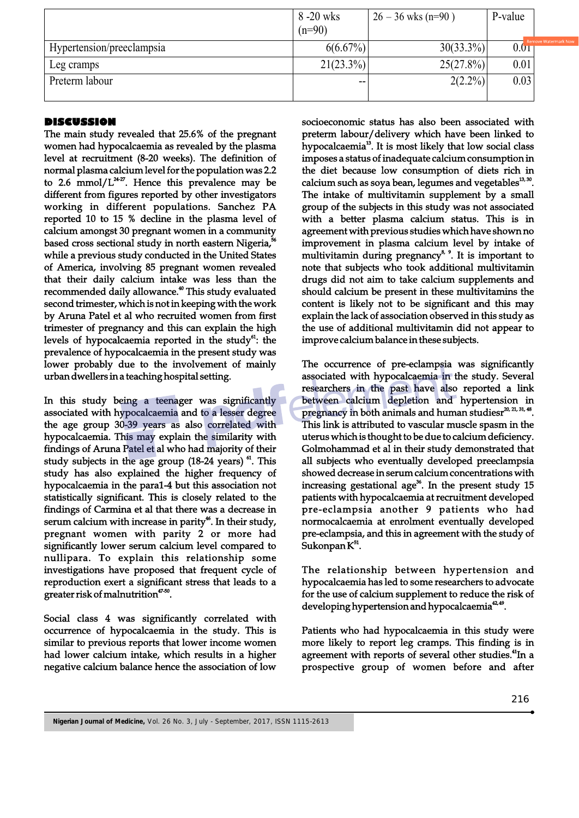|                           | 8 -20 wks    | $26 - 36$ wks (n=90) | P-value |
|---------------------------|--------------|----------------------|---------|
|                           | $(n=90)$     |                      |         |
| Hypertension/preeclampsia | $6(6.67\%)$  | $30(33.3\%)$         | 0.01    |
| Leg cramps                | $21(23.3\%)$ | $25(27.8\%)$         | 0.01    |
| Preterm labour            | $- -$        | $2(2.2\%)$           | 0.03    |
|                           |              |                      |         |

### **DISCUSSION**

The main study revealed that 25.6% of the pregnant women had hypocalcaemia as revealed by the plasma level at recruitment (8-20 weeks). The definition of normal plasma calcium level for the population was 2.2 to 2.6 mmol/ $L^{2+27}$ . Hence this prevalence may be different from figures reported by other investigators working in different populations. Sanchez PA reported 10 to 15 % decline in the plasma level of calcium amongst 30 pregnant women in a community based cross sectional study in north eastern Nigeria,<sup>56</sup> while a previous study conducted in the United States of America, involving 85 pregnant women revealed that their daily calcium intake was less than the recommended daily allowance.<sup>40</sup> This study evaluated second trimester, which is not in keeping with the work by Aruna Patel et al who recruited women from first trimester of pregnancy and this can explain the high levels of hypocalcaemia reported in the study<sup> $a$ </sup>: the prevalence of hypocalcaemia in the present study was lower probably due to the involvement of mainly urban dwellers in a teaching hospital setting.

In this study being a teenager was significantly associated with hypocalcaemia and to a lesser degree the age group 30-39 years as also correlated with hypocalcaemia. This may explain the similarity with findings of Aruna Patel et al who had majority of their study subjects in the age group  $(18-24 \text{ years})$   $^{61}$ . This study has also explained the higher frequency of hypocalcaemia in the para1-4 but this association not statistically significant. This is closely related to the findings of Carmina et al that there was a decrease in serum calcium with increase in parity<sup>46</sup>. In their study, pregnant women with parity 2 or more had significantly lower serum calcium level compared to nullipara. To explain this relationship some investigations have proposed that frequent cycle of reproduction exert a significant stress that leads to a greater risk of malnutrition $47-50$ .

Social class 4 was significantly correlated with occurrence of hypocalcaemia in the study. This is similar to previous reports that lower income women had lower calcium intake, which results in a higher negative calcium balance hence the association of low

socioeconomic status has also been associated with preterm labour/delivery which have been linked to hypocalcaemia<sup>13</sup>. It is most likely that low social class imposes a status of inadequate calcium consumption in the diet because low consumption of diets rich in calcium such as soya bean, legumes and vegetables<sup>13, 30</sup>. The intake of multivitamin supplement by a small group of the subjects in this study was not associated with a better plasma calcium status. This is in agreement with previous studies which have shown no improvement in plasma calcium level by intake of multivitamin during pregnancy<sup>8, 9</sup>. It is important to note that subjects who took additional multivitamin drugs did not aim to take calcium supplements and should calcium be present in these multivitamins the content is likely not to be significant and this may explain the lack of association observed in this study as the use of additional multivitamin did not appear to improve calcium balance in these subjects.

The occurrence of pre-eclampsia was significantly associated with hypocalcaemia in the study. Several researchers in the past have also reported a link between calcium depletion and hypertension in pregnancy in both animals and human studiesr $^{20, 21, 31, 48}$ . This link is attributed to vascular muscle spasm in the uterus which is thought to be due to calcium deficiency. Golmohammad et al in their study demonstrated that all subjects who eventually developed preeclampsia showed decrease in serum calcium concentrations with increasing gestational age<sup>36</sup>. In the present study  $15$ patients with hypocalcaemia at recruitment developed pre-eclampsia another 9 patients who had normocalcaemia at enrolment eventually developed pre-eclampsia, and this in agreement with the study of  $Sukonpan K<sup>51</sup>$ .

The relationship between hypertension and hypocalcaemia has led to some researchers to advocate for the use of calcium supplement to reduce the risk of developing hypertension and hypocalcaemia<sup>42,49</sup>.

Patients who had hypocalcaemia in this study were more likely to report leg cramps. This finding is in agreement with reports of several other studies.<sup>41</sup>In a prospective group of women before and after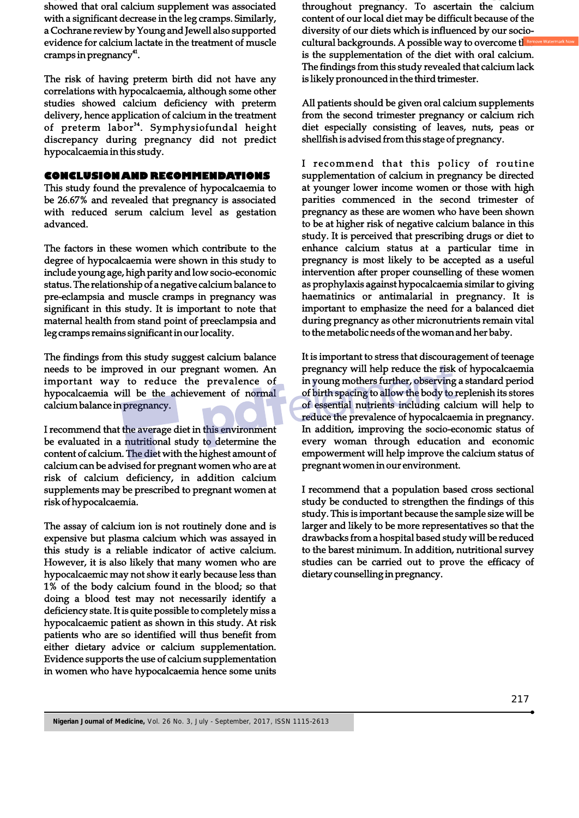showed that oral calcium supplement was associated with a significant decrease in the leg cramps. Similarly, a Cochrane review by Young and Jewell also supported evidence for calcium lactate in the treatment of muscle cramps in pregnancy $41$ .

The risk of having preterm birth did not have any correlations with hypocalcaemia, although some other studies showed calcium deficiency with preterm delivery, hence application of calcium in the treatment of preterm labor<sup>34</sup>. Symphysiofundal height discrepancy during pregnancy did not predict hypocalcaemia in this study.

#### **CONCLUSION AND RECOMMENDATIONS**

This study found the prevalence of hypocalcaemia to be 26.67% and revealed that pregnancy is associated with reduced serum calcium level as gestation advanced.

The factors in these women which contribute to the degree of hypocalcaemia were shown in this study to include young age, high parity and low socio-economic status. The relationship of a negative calcium balance to pre-eclampsia and muscle cramps in pregnancy was significant in this study. It is important to note that maternal health from stand point of preeclampsia and leg cramps remains significant in our locality.

The findings from this study suggest calcium balance needs to be improved in our pregnant women. An important way to reduce the prevalence of hypocalcaemia will be the achievement of normal calcium balance in pregnancy.

I recommend that the average diet in this environment be evaluated in a nutritional study to determine the content of calcium. The diet with the highest amount of calcium can be advised for pregnant women who are at risk of calcium deficiency, in addition calcium supplements may be prescribed to pregnant women at risk of hypocalcaemia.

The assay of calcium ion is not routinely done and is expensive but plasma calcium which was assayed in this study is a reliable indicator of active calcium. However, it is also likely that many women who are hypocalcaemic may not show it early because less than 1% of the body calcium found in the blood; so that doing a blood test may not necessarily identify a deficiency state. It is quite possible to completely miss a hypocalcaemic patient as shown in this study. At risk patients who are so identified will thus benefit from either dietary advice or calcium supplementation. Evidence supports the use of calcium supplementation in women who have hypocalcaemia hence some units

throughout pregnancy. To ascertain the calcium content of our local diet may be difficult because of the diversity of our diets which is influenced by our sociocultural backgrounds. A possible way to overcome the is the supplementation of the diet with oral calcium. The findings from this study revealed that calcium lack is likely pronounced in the third trimester.

All patients should be given oral calcium supplements from the second trimester pregnancy or calcium rich diet especially consisting of leaves, nuts, peas or shellfish is advised from this stage of pregnancy.

I recommend that this policy of routine supplementation of calcium in pregnancy be directed at younger lower income women or those with high parities commenced in the second trimester of pregnancy as these are women who have been shown to be at higher risk of negative calcium balance in this study. It is perceived that prescribing drugs or diet to enhance calcium status at a particular time in pregnancy is most likely to be accepted as a useful intervention after proper counselling of these women as prophylaxis against hypocalcaemia similar to giving haematinics or antimalarial in pregnancy. It is important to emphasize the need for a balanced diet during pregnancy as other micronutrients remain vital to the metabolic needs of the woman and her baby.

It is important to stress that discouragement of teenage pregnancy will help reduce the risk of hypocalcaemia in young mothers further, observing a standard period of birth spacing to allow the body to replenish its stores of essential nutrients including calcium will help to reduce the prevalence of hypocalcaemia in pregnancy. In addition, improving the socio-economic status of every woman through education and economic empowerment will help improve the calcium status of pregnant women in our environment.

I recommend that a population based cross sectional study be conducted to strengthen the findings of this study. This is important because the sample size will be larger and likely to be more representatives so that the drawbacks from a hospital based study will be reduced to the barest minimum. In addition, nutritional survey studies can be carried out to prove the efficacy of dietary counselling in pregnancy.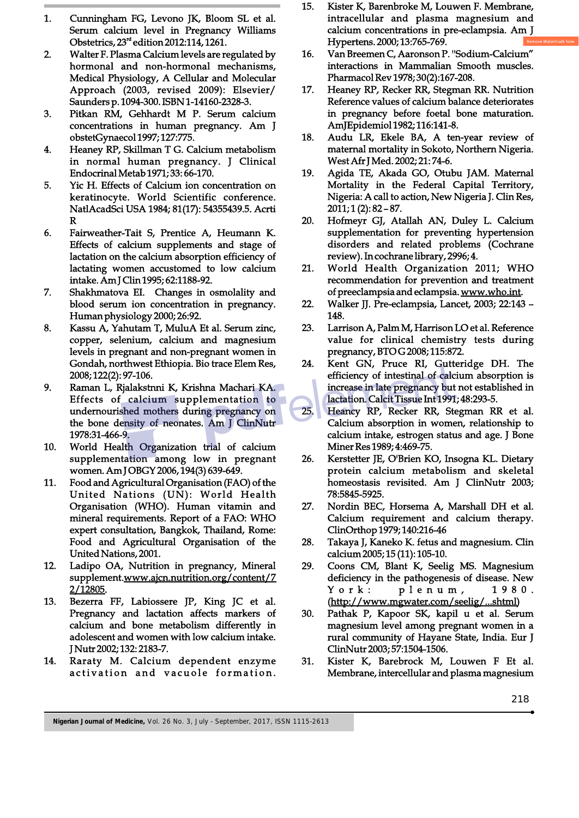- 1. Cunningham FG, Levono JK, Bloom SL et al. Serum calcium level in Pregnancy Williams Obstetrics,  $23<sup>rd</sup>$  edition 2012:114, 1261.
- 2. Walter F. Plasma Calcium levels are regulated by hormonal and non-hormonal mechanisms, Medical Physiology, A Cellular and Molecular Approach (2003, revised 2009): Elsevier/ Saunders p. 1094-300. ISBN 1-14160-2328-3.
- 3. Pitkan RM, Gehhardt M P. Serum calcium concentrations in human pregnancy. Am J obstetGynaecol 1997; 127:775.
- 4. Heaney RP, Skillman T G. Calcium metabolism in normal human pregnancy. J Clinical Endocrinal Metab 1971; 33: 66-170.
- 5. Yic H. Effects of Calcium ion concentration on keratinocyte. World Scientific conference. NatlAcadSci USA 1984; 81(17): 54355439.5. Acrti R
- 6. Fairweather-Tait S, Prentice A, Heumann K. Effects of calcium supplements and stage of lactation on the calcium absorption efficiency of lactating women accustomed to low calcium intake. Am J Clin 1995; 62:1188-92.
- 7. Shakhmatova EI. Changes in osmolality and blood serum ion concentration in pregnancy. Human physiology 2000; 26:92.
- 8. Kassu A, Yahutam T, MuluA Et al. Serum zinc, copper, selenium, calcium and magnesium levels in pregnant and non-pregnant women in Gondah, northwest Ethiopia. Bio trace Elem Res, 2008; 122(2): 97-106.
- 9. Raman L, Rjalakstnni K, Krishna Machari KA. Effects of calcium supplementation to undernourished mothers during pregnancy on the bone density of neonates. Am J ClinNutr 1978:31-466-9.
- 10. World Health Organization trial of calcium supplementation among low in pregnant women. Am J OBGY 2006, 194(3) 639-649.
- 11. Food and Agricultural Organisation (FAO) of the United Nations (UN): World Health Organisation (WHO). Human vitamin and mineral requirements. Report of a FAO: WHO expert consultation, Bangkok, Thailand, Rome: Food and Agricultural Organisation of the United Nations, 2001.
- 12. Ladipo OA, Nutrition in pregnancy, Mineral supplement.www.ajcn.nutrition.org/content/7 2/12805.
- 13. Bezerra FF, Labiossere JP, King JC et al. Pregnancy and lactation affects markers of calcium and bone metabolism differently in adolescent and women with low calcium intake. J Nutr 2002; 132: 2183-7.
- 14. Raraty M. Calcium dependent enzyme activation and vacuole formation.
- 15. Kister K, Barenbroke M, Louwen F. Membrane, intracellular and plasma magnesium and calcium concentrations in pre-eclampsia. Am J Hypertens. 2000; 13:765-769.
- 16. Van Breemen C, Aaronson P. ''Sodium-Calcium" interactions in Mammalian Smooth muscles. Pharmacol Rev 1978; 30(2):167-208.
- 17. Heaney RP, Recker RR, Stegman RR. Nutrition Reference values of calcium balance deteriorates in pregnancy before foetal bone maturation. AmJEpidemiol 1982; 116:141-8.
- 18. Audu LR, Ekele BA, A ten-year review of maternal mortality in Sokoto, Northern Nigeria. West Afr J Med. 2002; 21: 74-6.
- 19. Agida TE, Akada GO, Otubu JAM. Maternal Mortality in the Federal Capital Territory, Nigeria: A call to action, New Nigeria J. Clin Res, 2011; 1 (2): 82 – 87.
- 20. Hofmeyr GJ, Atallah AN, Duley L. Calcium supplementation for preventing hypertension disorders and related problems (Cochrane review). In cochrane library, 2996; 4.
- 21. World Health Organization 2011; WHO recommendation for prevention and treatment of preeclampsia and eclampsia. www.who.int.
- 22. Walker JJ. Pre-eclampsia, Lancet, 2003; 22:143 148.
- 23. Larrison A, Palm M, Harrison LO et al. Reference value for clinical chemistry tests during pregnancy, BTO G 2008; 115:872.
- 24. Kent GN, Pruce RI, Gutteridge DH. The efficiency of intestinal of calcium absorption is increase in late pregnancy but not established in lactation. Calcit Tissue Int 1991; 48:293-5.
- 25. Heancy RP, Recker RR, Stegman RR et al. Calcium absorption in women, relationship to calcium intake, estrogen status and age. J Bone Miner Res 1989; 4:469-75.
- 26. Kerstetter JE, O'Brien KO, Insogna KL. Dietary protein calcium metabolism and skeletal homeostasis revisited. Am J ClinNutr 2003; 78:5845-5925.
- 27. Nordin BEC, Horsema A, Marshall DH et al. Calcium requirement and calcium therapy. ClinOrthop 1979; 140:216-46
- 28. Takaya J, Kaneko K. fetus and magnesium. Clin calcium 2005; 15 (11): 105-10.
- 29. Coons CM, Blant K, Seelig MS. Magnesium deficiency in the pathogenesis of disease. New York: plenum, 1980. (http://www.mgwater.com/seelig/...shtml)
- 30. Pathak P, Kapoor SK, kapil u et al. Serum magnesium level among pregnant women in a rural community of Hayane State, India. Eur J ClinNutr 2003; 57:1504-1506.
- 31. Kister K, Barebrock M, Louwen F Et al. Membrane, intercellular and plasma magnesium

**Nigerian Journal of Medicine,** Vol. 26 No. 3, July - September, 2017, ISSN 1115-2613